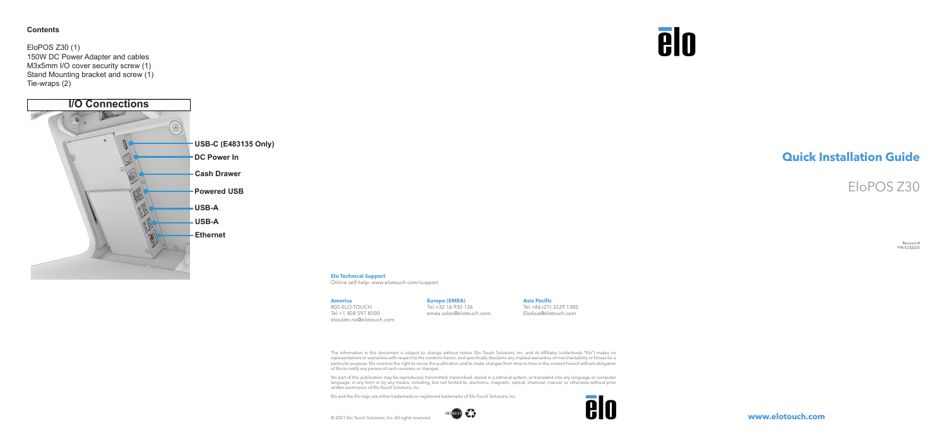Revision B P/N E232225

**www.elotouch.com**

## **Quick Installation Guide**

## EloPOS Z30

© 2021 Elo Touch Solutions, Inc. All rights reserved.

# **elo**

The information in this document is subject to change without notice. Elo Touch Solutions, Inc. and its Affiliates (collectively "Elo") makes no representations or warranties with respect to the contents herein, and specifically disclaims any implied warranties of merchantability or fitness for a particular purpose. Elo reserves the right to revise this publication and to make changes from time to time in the content hereof without obligation of Elo to notify any person of such revisions or changes.

No part of this publication may be reproduced, transmitted, transcribed, stored in a retrieval system, or translated into any language or computer<br>language, in any form or by any means, including, but not limited to, elect written permission of Elo Touch Solutions, Inc.

**ISO 9001 275** 

Elo and the Elo logo are either trademarks or registered trademarks of Elo Touch Solutions, Inc.



#### **America**

800-ELO-TOUCH Tel +1 408 597 8000 elosales.na@elotouch.com

#### **Europe (EMEA)**

Tel +32 16 930 136 emea.sales@elotouch.com

#### **Asia Pacific** Tel +86 (21) 3329 1385 EloAsia@elotouch.com

**Elo Technical Support**

Online self-help: www.elotouch.com/support

### **Contents**

EloPOS Z30 (1) 150W DC Power Adapter and cables M3x5mm I/O cover security screw (1) Stand Mounting bracket and screw (1) Tie-wraps (2)